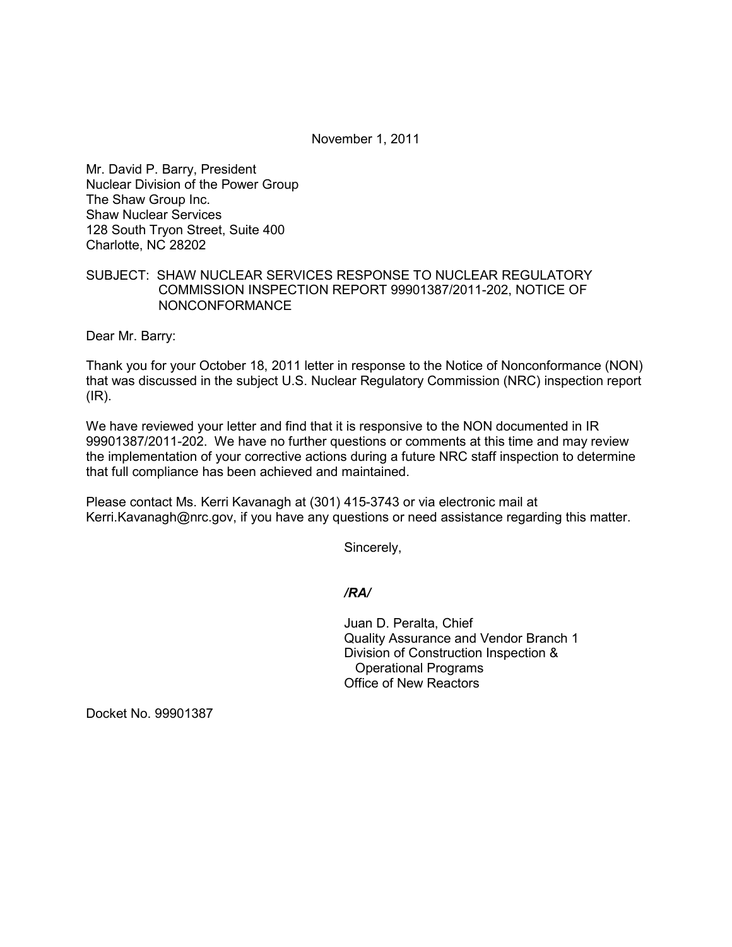November 1, 2011

Mr. David P. Barry, President Nuclear Division of the Power Group The Shaw Group Inc. Shaw Nuclear Services 128 South Tryon Street, Suite 400 Charlotte, NC 28202

## SUBJECT: SHAW NUCLEAR SERVICES RESPONSE TO NUCLEAR REGULATORY COMMISSION INSPECTION REPORT 99901387/2011-202, NOTICE OF NONCONFORMANCE

Dear Mr. Barry:

Thank you for your October 18, 2011 letter in response to the Notice of Nonconformance (NON) that was discussed in the subject U.S. Nuclear Regulatory Commission (NRC) inspection report (IR).

We have reviewed your letter and find that it is responsive to the NON documented in IR 99901387/2011-202. We have no further questions or comments at this time and may review the implementation of your corrective actions during a future NRC staff inspection to determine that full compliance has been achieved and maintained.

Please contact Ms. Kerri Kavanagh at (301) 415-3743 or via electronic mail at Kerri.Kavanagh@nrc.gov, if you have any questions or need assistance regarding this matter.

Sincerely,

*/RA/* 

Juan D. Peralta, Chief Quality Assurance and Vendor Branch 1 Division of Construction Inspection & Operational Programs Office of New Reactors

Docket No. 99901387